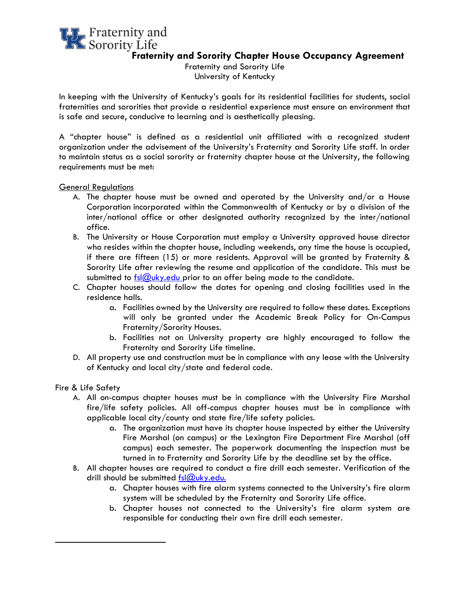# **LT** Fraternity and Sorority Life **Fraternity and Sorority Chapter House Occupancy Agreement**

Fraternity and Sorority Life University of Kentucky

In keeping with the University of Kentucky's goals for its residential facilities for students, social fraternities and sororities that provide a residential experience must ensure an environment that is safe and secure, conducive to learning and is aesthetically pleasing.

A "chapter house" is defined as a residential unit affiliated with a recognized student organization under the advisement of the University's Fraternity and Sorority Life staff. In order to maintain status as a social sorority or fraternity chapter house at the University, the following requirements must be met:

General Regulations

- A. The chapter house must be owned and operated by the University and/or a House Corporation incorporated within the Commonwealth of Kentucky or by a division of the inter/national office or other designated authority recognized by the inter/national office.
- B. The University or House Corporation must employ a University approved house director who resides within the chapter house, including weekends, any time the house is occupied, if there are fifteen (15) or more residents. Approval will be granted by Fraternity & Sorority Life after reviewing the resume and application of the candidate. This must be submitted to  $fs/Quky.edu$  prior to an offer being made to the candidate.
- C. Chapter houses should follow the dates for opening and closing facilities used in the residence halls.
	- a. Facilities owned by the University are required to follow these dates. Exceptions will only be granted under the Academic Break Policy for On-Campus Fraternity/Sorority Houses.
	- b. Facilities not on University property are highly encouraged to follow the Fraternity and Sorority Life timeline.
- D. All property use and construction must be in compliance with any lease with the University of Kentucky and local city/state and federal code.

Fire & Life Safety

- A. All on-campus chapter houses must be in compliance with the University Fire Marshal fire/life safety policies. All off-campus chapter houses must be in compliance with applicable local city/county and state fire/life safety policies.
	- a. The organization must have its chapter house inspected by either the University Fire Marshal (on campus) or the Lexington Fire Department Fire Marshal (off campus) each semester. The paperwork documenting the inspection must be turned in to Fraternity and Sorority Life by the deadline set by the office.
- B. All chapter houses are required to conduct a fire drill each semester. Verification of the drill should be submitted [fsl@uky.edu.](mailto:fsl@uky.edu.)
	- a. Chapter houses with fire alarm systems connected to the University's fire alarm system will be scheduled by the Fraternity and Sorority Life office.
	- b. Chapter houses not connected to the University's fire alarm system are responsible for conducting their own fire drill each semester.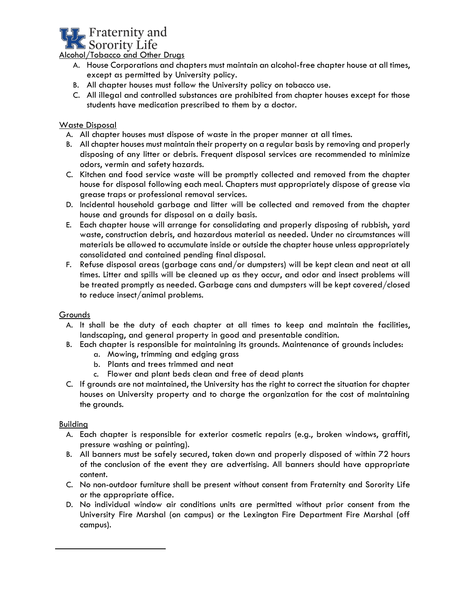

Alcohol/Tobacco and Other Drugs

- A. House Corporations and chapters must maintain an alcohol-free chapter house at all times, except as permitted by University policy.
- B. All chapter houses must follow the University policy on tobacco use.
- C. All illegal and controlled substances are prohibited from chapter houses except for those students have medication prescribed to them by a doctor.

## Waste Disposal

- A. All chapter houses must dispose of waste in the proper manner at all times.
- B. Allchapter houses must maintain their property on a regular basis by removing and properly disposing of any litter or debris. Frequent disposal services are recommended to minimize odors, vermin and safety hazards.
- C. Kitchen and food service waste will be promptly collected and removed from the chapter house for disposal following each meal. Chapters must appropriately dispose of grease via grease traps or professional removal services.
- D. Incidental household garbage and litter will be collected and removed from the chapter house and grounds for disposal on a daily basis.
- E. Each chapter house will arrange for consolidating and properly disposing of rubbish, yard waste, construction debris, and hazardous material as needed. Under no circumstances will materials be allowed to accumulate inside or outside the chapter house unless appropriately consolidated and contained pending final disposal.
- F. Refuse disposal areas (garbage cans and/or dumpsters) will be kept clean and neat at all times. Litter and spills will be cleaned up as they occur, and odor and insect problems will be treated promptly as needed. Garbage cans and dumpsters will be kept covered/closed to reduce insect/animal problems.

#### Grounds

- A. It shall be the duty of each chapter at all times to keep and maintain the facilities, landscaping, and general property in good and presentable condition.
- B. Each chapter is responsible for maintaining its grounds. Maintenance of grounds includes:
	- a. Mowing, trimming and edging grass
	- b. Plants and trees trimmed and neat
	- c. Flower and plant beds clean and free of dead plants
- C. If grounds are not maintained, the University has the right to correct the situation for chapter houses on University property and to charge the organization for the cost of maintaining the grounds.

#### Building

- A. Each chapter is responsible for exterior cosmetic repairs (e.g., broken windows, graffiti, pressure washing or painting).
- B. All banners must be safely secured, taken down and properly disposed of within 72 hours of the conclusion of the event they are advertising. All banners should have appropriate content.
- C. No non-outdoor furniture shall be present without consent from Fraternity and Sorority Life or the appropriate office.
- D. No individual window air conditions units are permitted without prior consent from the University Fire Marshal (on campus) or the Lexington Fire Department Fire Marshal (off campus).